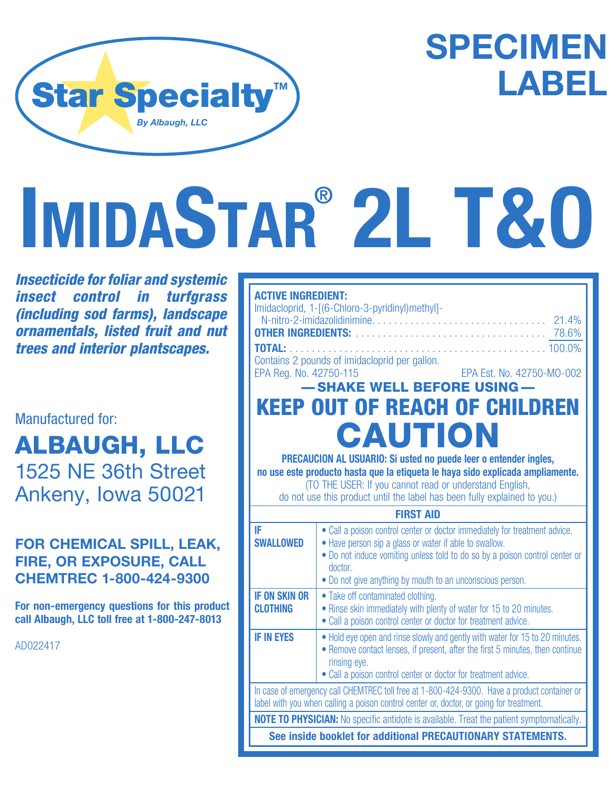

## **SPECIMEN LABEL**

# **IMIDASTAR® 2L T&O**

*Insecticide for foliar and systemic insect control in turfgrass (including sod farms), landscape ornamentals, listed fruit and nut trees and interior plantscapes.*

#### Manufactured for:

ALBAUGH, LLC 1525 NE 36th Street Ankeny, Iowa 50021

#### **FOR CHEMICAL SPILL, LEAK, FIRE, OR EXPOSURE, CALL CHEMTREC 1-800-424-9300**

**For non-emergency questions for this product call Albaugh, LLC toll free at 1-800-247-8013**

AD022417

| <b>ACTIVE INGREDIENT:</b><br>Imidacloprid, 1-[(6-Chloro-3-pyridinyl)methyl]-<br><b>TOTAL:</b><br>Contains 2 pounds of imidacloprid per gallon.<br>EPA Reg. No. 42750-115<br>EPA Est. No. 42750-MO-002 |                                                                                                                                                                                                                                                                                             |  |  |  |  |
|-------------------------------------------------------------------------------------------------------------------------------------------------------------------------------------------------------|---------------------------------------------------------------------------------------------------------------------------------------------------------------------------------------------------------------------------------------------------------------------------------------------|--|--|--|--|
|                                                                                                                                                                                                       | -SHAKE WELL BEFORE USING-                                                                                                                                                                                                                                                                   |  |  |  |  |
| <b>KEEP OUT OF REACH OF CHILDREN</b><br><b>CAUTION</b>                                                                                                                                                |                                                                                                                                                                                                                                                                                             |  |  |  |  |
|                                                                                                                                                                                                       |                                                                                                                                                                                                                                                                                             |  |  |  |  |
| PRECAUCION AL USUARIO: Si usted no puede leer o entender ingles,                                                                                                                                      |                                                                                                                                                                                                                                                                                             |  |  |  |  |
| no use este producto hasta que la etiqueta le haya sido explicada ampliamente.                                                                                                                        |                                                                                                                                                                                                                                                                                             |  |  |  |  |
| (TO THE USER: If you cannot read or understand English,                                                                                                                                               |                                                                                                                                                                                                                                                                                             |  |  |  |  |
| do not use this product until the label has been fully explained to you.)                                                                                                                             |                                                                                                                                                                                                                                                                                             |  |  |  |  |
| <b>FIRST AID</b>                                                                                                                                                                                      |                                                                                                                                                                                                                                                                                             |  |  |  |  |
| IF<br><b>SWALLOWED</b>                                                                                                                                                                                | • Call a poison control center or doctor immediately for treatment advice.<br>• Have person sip a glass or water if able to swallow.<br>• Do not induce vomiting unless told to do so by a poison control center or<br>doctor.<br>• Do not give anything by mouth to an unconscious person. |  |  |  |  |
| <b>IF ON SKIN OR</b><br><b>CLOTHING</b>                                                                                                                                                               | • Take off contaminated clothing.<br>• Rinse skin immediately with plenty of water for 15 to 20 minutes.<br>• Call a poison control center or doctor for treatment advice.                                                                                                                  |  |  |  |  |
| <b>IF IN EYES</b>                                                                                                                                                                                     | • Hold eye open and rinse slowly and gently with water for 15 to 20 minutes.<br>• Remove contact lenses, if present, after the first 5 minutes, then continue<br>rinsing eye.                                                                                                               |  |  |  |  |

• Call a poison control center or doctor for treatment advice.

In case of emergency call CHEMTREC toll free at 1-800-424-9300. Have a product container or label with you when calling a poison control center or, doctor, or going for treatment.

**NOTE TO PHYSICIAN:** No specific antidote is available. Treat the patient symptomatically.

**See inside booklet for additional PRECAUTIONARY STATEMENTS.**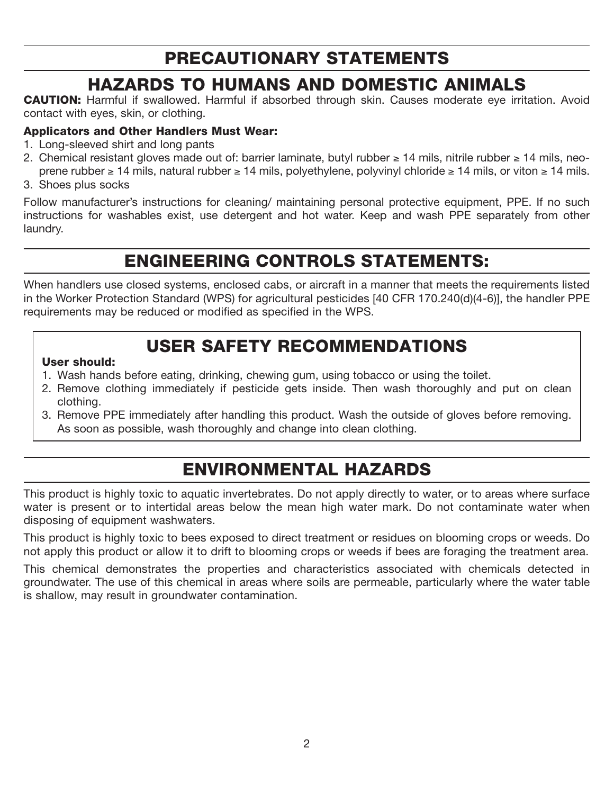## PRECAUTIONARY STATEMENTS

## HAZARDS TO HUMANS AND DOMESTIC ANIMALS

CAUTION: Harmful if swallowed. Harmful if absorbed through skin. Causes moderate eye irritation. Avoid contact with eyes, skin, or clothing.

#### Applicators and Other Handlers Must Wear:

- 1. Long-sleeved shirt and long pants
- 2. Chemical resistant gloves made out of: barrier laminate, butyl rubber  $\geq 14$  mils, nitrile rubber  $\geq 14$  mils, neo-
- prene rubber  $\geq 14$  mils, natural rubber  $\geq 14$  mils, polyethylene, polyvinyl chloride  $\geq 14$  mils, or viton  $\geq 14$  mils. 3. Shoes plus socks
- 

Follow manufacturer's instructions for cleaning/ maintaining personal protective equipment, PPE. If no such instructions for washables exist, use detergent and hot water. Keep and wash PPE separately from other laundry.

## ENGINEERING CONTROLS STATEMENTS:

When handlers use closed systems, enclosed cabs, or aircraft in a manner that meets the requirements listed in the Worker Protection Standard (WPS) for agricultural pesticides [40 CFR 170.240(d)(4-6)], the handler PPE requirements may be reduced or modified as specified in the WPS.

## USER SAFETY RECOMMENDATIONS

#### User should:

- 1. Wash hands before eating, drinking, chewing gum, using tobacco or using the toilet.
- 2. Remove clothing immediately if pesticide gets inside. Then wash thoroughly and put on clean clothing.
- 3. Remove PPE immediately after handling this product. Wash the outside of gloves before removing. As soon as possible, wash thoroughly and change into clean clothing.

## ENVIRONMENTAL HAZARDS

This product is highly toxic to aquatic invertebrates. Do not apply directly to water, or to areas where surface water is present or to intertidal areas below the mean high water mark. Do not contaminate water when disposing of equipment washwaters.

This product is highly toxic to bees exposed to direct treatment or residues on blooming crops or weeds. Do not apply this product or allow it to drift to blooming crops or weeds if bees are foraging the treatment area.

This chemical demonstrates the properties and characteristics associated with chemicals detected in groundwater. The use of this chemical in areas where soils are permeable, particularly where the water table is shallow, may result in groundwater contamination.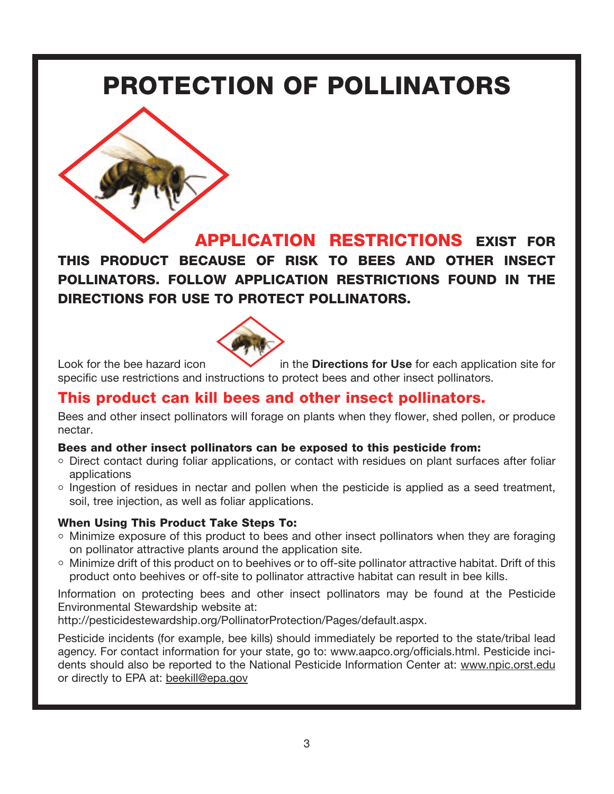## PROTECTION OF POLLINATORS



APPLICATION RESTRICTIONS EXIST FOR THIS PRODUCT BECAUSE OF RISK TO BEES AND OTHER INSECT POLLINATORS. FOLLOW APPLICATION RESTRICTIONS FOUND IN THE DIRECTIONS FOR USE TO PROTECT POLLINATORS.



Look for the bee hazard icon **in the Directions for Use** for each application site for specific use restrictions and instructions to protect bees and other insect pollinators.

### This product can kill bees and other insect pollinators.

Bees and other insect pollinators will forage on plants when they flower, shed pollen, or produce nectar.

#### Bees and other insect pollinators can be exposed to this pesticide from:

- $\circ$  Direct contact during foliar applications, or contact with residues on plant surfaces after foliar applications
- $\circ$  Ingestion of residues in nectar and pollen when the pesticide is applied as a seed treatment, soil, tree injection, as well as foliar applications.

#### When Using This Product Take Steps To:

- $\circ$  Minimize exposure of this product to bees and other insect pollinators when they are foraging on pollinator attractive plants around the application site.
- o Minimize drift of this product on to beehives or to off-site pollinator attractive habitat. Drift of this product onto beehives or off-site to pollinator attractive habitat can result in bee kills.

Information on protecting bees and other insect pollinators may be found at the Pesticide Environmental Stewardship website at:

http://pesticidestewardship.org/PollinatorProtection/Pages/default.aspx.

Pesticide incidents (for example, bee kills) should immediately be reported to the state/tribal lead agency. For contact information for your state, go to: www.aapco.org/officials.html. Pesticide incidents should also be reported to the National Pesticide Information Center at: www.npic.orst.edu or directly to EPA at: beekill@epa.gov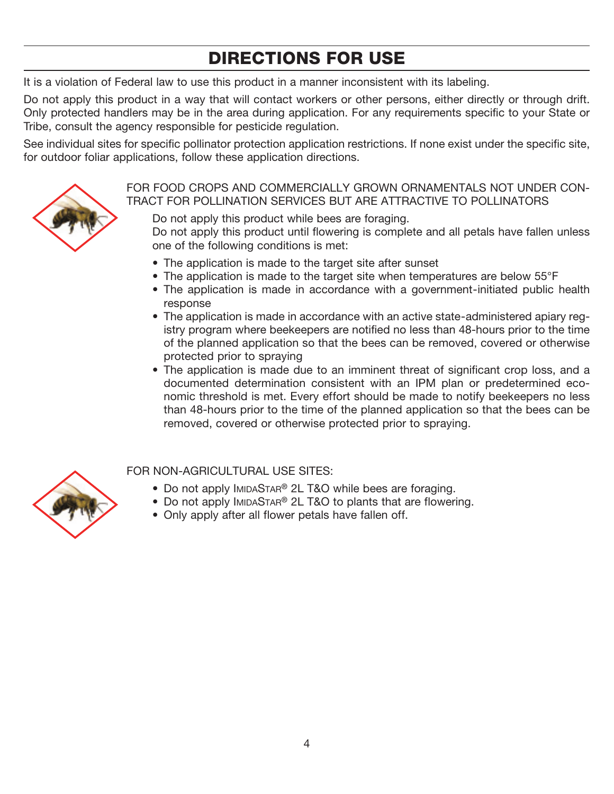## DIRECTIONS FOR USE

It is a violation of Federal law to use this product in a manner inconsistent with its labeling.

Do not apply this product in a way that will contact workers or other persons, either directly or through drift. Only protected handlers may be in the area during application. For any requirements specific to your State or Tribe, consult the agency responsible for pesticide regulation.

See individual sites for specific pollinator protection application restrictions. If none exist under the specific site, for outdoor foliar applications, follow these application directions.



#### FOR FOOD CROPS AND COMMERCIALLY GROWN ORNAMENTALS NOT UNDER CON-TRACT FOR POLLINATION SERVICES BUT ARE ATTRACTIVE TO POLLINATORS

 Do not apply this product while bees are foraging. Do not apply this product until flowering is complete and all petals have fallen unless one of the following conditions is met:

- The application is made to the target site after sunset
- The application is made to the target site when temperatures are below 55°F
- The application is made in accordance with a government-initiated public health response
- The application is made in accordance with an active state-administered apiary registry program where beekeepers are notified no less than 48-hours prior to the time of the planned application so that the bees can be removed, covered or otherwise protected prior to spraying
- The application is made due to an imminent threat of significant crop loss, and a documented determination consistent with an IPM plan or predetermined economic threshold is met. Every effort should be made to notify beekeepers no less than 48-hours prior to the time of the planned application so that the bees can be removed, covered or otherwise protected prior to spraying.



#### FOR NON-AGRICULTURAL USE SITES:

- Do not apply IMIDASTAR® 2L T&O while bees are foraging.
- Do not apply IMIDASTAR® 2L T&O to plants that are flowering.
- Only apply after all flower petals have fallen off.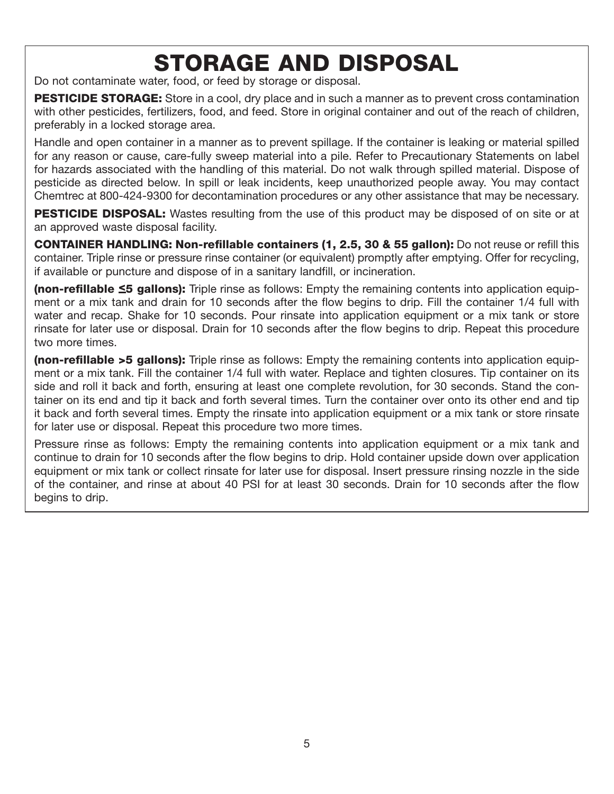## STORAGE AND DISPOSAL

Do not contaminate water, food, or feed by storage or disposal.

**PESTICIDE STORAGE:** Store in a cool, dry place and in such a manner as to prevent cross contamination with other pesticides, fertilizers, food, and feed. Store in original container and out of the reach of children, preferably in a locked storage area.

Handle and open container in a manner as to prevent spillage. If the container is leaking or material spilled for any reason or cause, care-fully sweep material into a pile. Refer to Precautionary Statements on label for hazards associated with the handling of this material. Do not walk through spilled material. Dispose of pesticide as directed below. In spill or leak incidents, keep unauthorized people away. You may contact Chemtrec at 800-424-9300 for decontamination procedures or any other assistance that may be necessary.

**PESTICIDE DISPOSAL:** Wastes resulting from the use of this product may be disposed of on site or at an approved waste disposal facility.

CONTAINER HANDLING: Non-refillable containers (1, 2.5, 30 & 55 gallon): Do not reuse or refill this container. Triple rinse or pressure rinse container (or equivalent) promptly after emptying. Offer for recycling, if available or puncture and dispose of in a sanitary landfill, or incineration.

(non-refillable ≤5 gallons): Triple rinse as follows: Empty the remaining contents into application equipment or a mix tank and drain for 10 seconds after the flow begins to drip. Fill the container 1/4 full with water and recap. Shake for 10 seconds. Pour rinsate into application equipment or a mix tank or store rinsate for later use or disposal. Drain for 10 seconds after the flow begins to drip. Repeat this procedure two more times.

(non-refillable >5 gallons): Triple rinse as follows: Empty the remaining contents into application equipment or a mix tank. Fill the container 1/4 full with water. Replace and tighten closures. Tip container on its side and roll it back and forth, ensuring at least one complete revolution, for 30 seconds. Stand the container on its end and tip it back and forth several times. Turn the container over onto its other end and tip it back and forth several times. Empty the rinsate into application equipment or a mix tank or store rinsate for later use or disposal. Repeat this procedure two more times.

Pressure rinse as follows: Empty the remaining contents into application equipment or a mix tank and continue to drain for 10 seconds after the flow begins to drip. Hold container upside down over application equipment or mix tank or collect rinsate for later use for disposal. Insert pressure rinsing nozzle in the side of the container, and rinse at about 40 PSI for at least 30 seconds. Drain for 10 seconds after the flow begins to drip.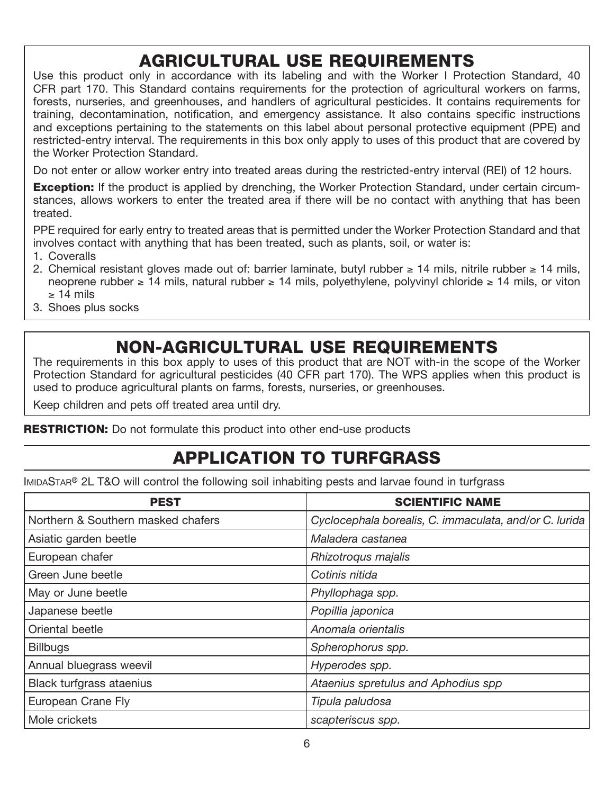## AGRICULTURAL USE REQUIREMENTS

Use this product only in accordance with its labeling and with the Worker I Protection Standard, 40 CFR part 170. This Standard contains requirements for the protection of agricultural workers on farms, forests, nurseries, and greenhouses, and handlers of agricultural pesticides. It contains requirements for training, decontamination, notification, and emergency assistance. It also contains specific instructions and exceptions pertaining to the statements on this label about personal protective equipment (PPE) and restricted-entry interval. The requirements in this box only apply to uses of this product that are covered by the Worker Protection Standard.

Do not enter or allow worker entry into treated areas during the restricted-entry interval (REI) of 12 hours.

**Exception:** If the product is applied by drenching, the Worker Protection Standard, under certain circumstances, allows workers to enter the treated area if there will be no contact with anything that has been treated.

PPE required for early entry to treated areas that is permitted under the Worker Protection Standard and that involves contact with anything that has been treated, such as plants, soil, or water is:

- 1. Coveralls
- 2. Chemical resistant gloves made out of: barrier laminate, butyl rubber  $\geq 14$  mils, nitrile rubber  $\geq 14$  mils, neoprene rubber  $\geq 14$  mils, natural rubber  $\geq 14$  mils, polyethylene, polyvinyl chloride  $\geq 14$  mils, or viton  $\geq 14$  mils
- 3. Shoes plus socks

## NON-AGRICULTURAL USE REQUIREMENTS

The requirements in this box apply to uses of this product that are NOT with-in the scope of the Worker Protection Standard for agricultural pesticides (40 CFR part 170). The WPS applies when this product is used to produce agricultural plants on farms, forests, nurseries, or greenhouses.

Keep children and pets off treated area until dry.

**RESTRICTION:** Do not formulate this product into other end-use products

## APPLICATION TO TURFGRASS

IMIDASTAR® 2L T&O will control the following soil inhabiting pests and larvae found in turfgrass

| <b>PEST</b>                        | <b>SCIENTIFIC NAME</b>                                 |
|------------------------------------|--------------------------------------------------------|
| Northern & Southern masked chafers | Cyclocephala borealis, C. immaculata, and/or C. lurida |
| Asiatic garden beetle              | Maladera castanea                                      |
| European chafer                    | Rhizotroqus majalis                                    |
| Green June beetle                  | Cotinis nitida                                         |
| May or June beetle                 | Phyllophaga spp.                                       |
| Japanese beetle                    | Popillia japonica                                      |
| Oriental beetle                    | Anomala orientalis                                     |
| <b>Billbugs</b>                    | Spherophorus spp.                                      |
| Annual bluegrass weevil            | Hyperodes spp.                                         |
| <b>Black turfgrass ataenius</b>    | Ataenius spretulus and Aphodius spp                    |
| European Crane Fly                 | Tipula paludosa                                        |
| Mole crickets                      | scapteriscus spp.                                      |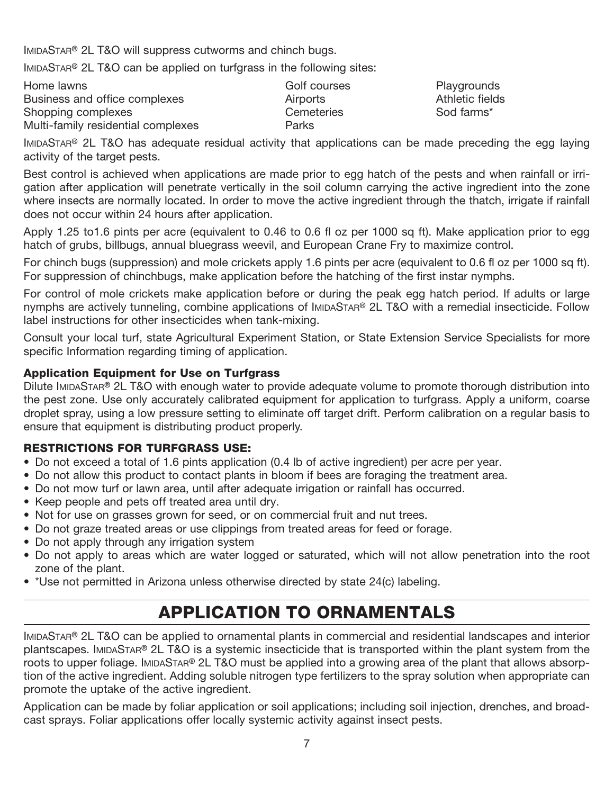IMIDASTAR® 2L T&O will suppress cutworms and chinch bugs.

IMIDASTAR® 2L T&O can be applied on turfgrass in the following sites:

| Home lawns                         | Golf courses | Playgrounc    |
|------------------------------------|--------------|---------------|
| Business and office complexes      | Airports     | Athletic fiel |
| Shopping complexes                 | Cemeteries   | Sod farms*    |
| Multi-family residential complexes | Parks        |               |

IMIDASTAR® 2L T&O has adequate residual activity that applications can be made preceding the egg laying activity of the target pests.

Playgrounds Athletic fields

Best control is achieved when applications are made prior to egg hatch of the pests and when rainfall or irrigation after application will penetrate vertically in the soil column carrying the active ingredient into the zone where insects are normally located. In order to move the active ingredient through the thatch, irrigate if rainfall does not occur within 24 hours after application.

Apply 1.25 to1.6 pints per acre (equivalent to 0.46 to 0.6 fl oz per 1000 sq ft). Make application prior to egg hatch of grubs, billbugs, annual bluegrass weevil, and European Crane Fry to maximize control.

For chinch bugs (suppression) and mole crickets apply 1.6 pints per acre (equivalent to 0.6 fl oz per 1000 sq ft). For suppression of chinchbugs, make application before the hatching of the first instar nymphs.

For control of mole crickets make application before or during the peak egg hatch period. If adults or large nymphs are actively tunneling, combine applications of IMIDASTAR® 2L T&O with a remedial insecticide. Follow label instructions for other insecticides when tank-mixing.

Consult your local turf, state Agricultural Experiment Station, or State Extension Service Specialists for more specific Information regarding timing of application.

#### Application Equipment for Use on Turfgrass

Dilute IMIDASTAR® 2L T&O with enough water to provide adequate volume to promote thorough distribution into the pest zone. Use only accurately calibrated equipment for application to turfgrass. Apply a uniform, coarse droplet spray, using a low pressure setting to eliminate off target drift. Perform calibration on a regular basis to ensure that equipment is distributing product properly.

#### RESTRICTIONS FOR TURFGRASS USE:

- Do not exceed a total of 1.6 pints application (0.4 lb of active ingredient) per acre per year.
- Do not allow this product to contact plants in bloom if bees are foraging the treatment area.
- Do not mow turf or lawn area, until after adequate irrigation or rainfall has occurred.
- Keep people and pets off treated area until dry.
- Not for use on grasses grown for seed, or on commercial fruit and nut trees.
- Do not graze treated areas or use clippings from treated areas for feed or forage.
- Do not apply through any irrigation system
- Do not apply to areas which are water logged or saturated, which will not allow penetration into the root zone of the plant.
- \*Use not permitted in Arizona unless otherwise directed by state 24(c) labeling.

## APPLICATION TO ORNAMENTALS

IMIDASTAR® 2L T&O can be applied to ornamental plants in commercial and residential landscapes and interior plantscapes. IMIDASTAR® 2L T&O is a systemic insecticide that is transported within the plant system from the roots to upper foliage. IMIDASTAR® 2L T&O must be applied into a growing area of the plant that allows absorption of the active ingredient. Adding soluble nitrogen type fertilizers to the spray solution when appropriate can promote the uptake of the active ingredient.

Application can be made by foliar application or soil applications; including soil injection, drenches, and broadcast sprays. Foliar applications offer locally systemic activity against insect pests.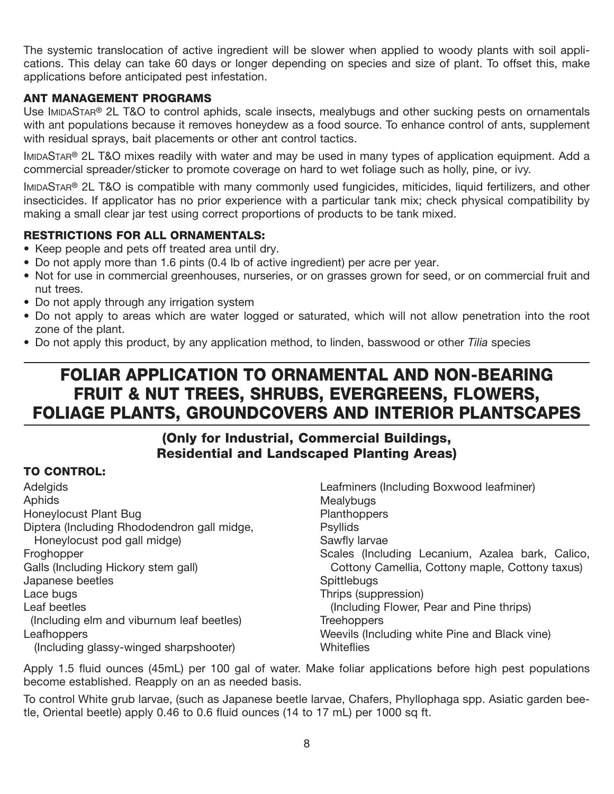The systemic translocation of active ingredient will be slower when applied to woody plants with soil applications. This delay can take 60 days or longer depending on species and size of plant. To offset this, make applications before anticipated pest infestation.

#### ANT MANAGEMENT PROGRAMS

Use IMIDASTAR® 2L T&O to control aphids, scale insects, mealybugs and other sucking pests on ornamentals with ant populations because it removes honeydew as a food source. To enhance control of ants, supplement with residual sprays, bait placements or other ant control tactics.

IMIDASTAR® 2L T&O mixes readily with water and may be used in many types of application equipment. Add a commercial spreader/sticker to promote coverage on hard to wet foliage such as holly, pine, or ivy.

IMIDASTAR® 2L T&O is compatible with many commonly used fungicides, miticides, liquid fertilizers, and other insecticides. If applicator has no prior experience with a particular tank mix; check physical compatibility by making a small clear jar test using correct proportions of products to be tank mixed.

#### RESTRICTIONS FOR ALL ORNAMENTALS:

- Keep people and pets off treated area until dry.
- Do not apply more than 1.6 pints (0.4 lb of active ingredient) per acre per year.
- Not for use in commercial greenhouses, nurseries, or on grasses grown for seed, or on commercial fruit and nut trees.
- Do not apply through any irrigation system
- Do not apply to areas which are water logged or saturated, which will not allow penetration into the root zone of the plant.
- Do not apply this product, by any application method, to linden, basswood or other *Tilia* species

## FOLIAR APPLICATION TO ORNAMENTAL AND NON-BEARING FRUIT & NUT TREES, SHRUBS, EVERGREENS, FLOWERS, FOLIAGE PLANTS, GROUNDCOVERS AND INTERIOR PLANTSCAPES

#### (Only for Industrial, Commercial Buildings, Residential and Landscaped Planting Areas)

#### TO CONTROL:

**Adelgids** Aphids Honeylocust Plant Bug Diptera (Including Rhododendron gall midge, Honeylocust pod gall midge) Froghopper Galls (Including Hickory stem gall) Japanese beetles Lace bugs Leaf beetles (Including elm and viburnum leaf beetles) Leafhoppers (Including glassy-winged sharpshooter)

Leafminers (Including Boxwood leafminer) Mealybugs **Planthoppers Psyllids** Sawfly larvae Scales (Including Lecanium, Azalea bark, Calico, Cottony Camellia, Cottony maple, Cottony taxus) **Spittlebugs** Thrips (suppression) (Including Flower, Pear and Pine thrips) **Treehoppers** Weevils (Including white Pine and Black vine) **Whiteflies** 

Apply 1.5 fluid ounces (45mL) per 100 gal of water. Make foliar applications before high pest populations become established. Reapply on an as needed basis.

To control White grub larvae, (such as Japanese beetle larvae, Chafers, Phyllophaga spp. Asiatic garden beetle, Oriental beetle) apply 0.46 to 0.6 fluid ounces (14 to 17 mL) per 1000 sq ft.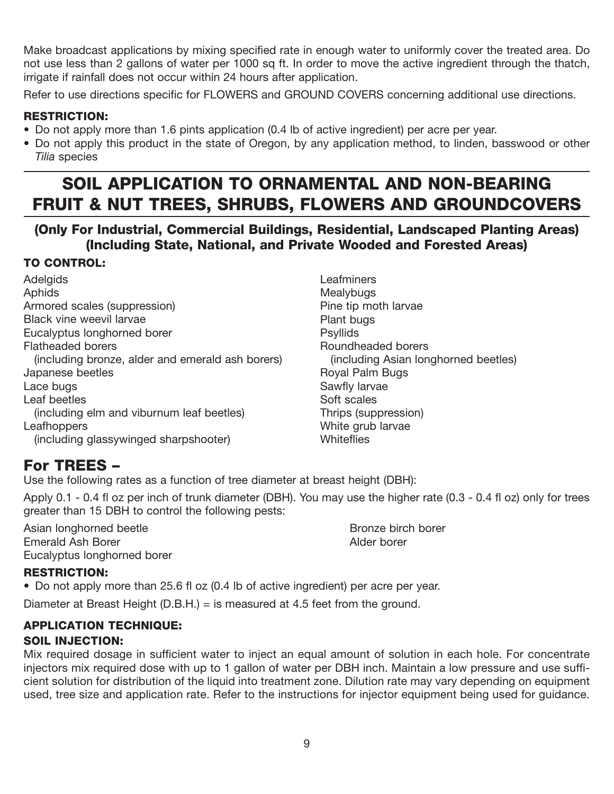Make broadcast applications by mixing specified rate in enough water to uniformly cover the treated area. Do not use less than 2 gallons of water per 1000 sq ft. In order to move the active ingredient through the thatch, irrigate if rainfall does not occur within 24 hours after application.

Refer to use directions specific for FLOWERS and GROUND COVERS concerning additional use directions.

#### RESTRICTION:

- Do not apply more than 1.6 pints application (0.4 lb of active ingredient) per acre per year.
- Do not apply this product in the state of Oregon, by any application method, to linden, basswood or other *Tilia* species

## SOIL APPLICATION TO ORNAMENTAL AND NON-BEARING FRUIT & NUT TREES, SHRUBS, FLOWERS AND GROUNDCOVERS

#### (Only For Industrial, Commercial Buildings, Residential, Landscaped Planting Areas) (Including State, National, and Private Wooded and Forested Areas)

#### TO CONTROL:

**Adelgids** Aphids Armored scales (suppression) Black vine weevil larvae Eucalyptus longhorned borer Flatheaded borers (including bronze, alder and emerald ash borers) Japanese beetles Lace bugs Leaf beetles (including elm and viburnum leaf beetles) **Leafhoppers** (including glassywinged sharpshooter)

**Leafminers Mealybugs** Pine tip moth larvae Plant bugs Psyllids Roundheaded borers (including Asian longhorned beetles) Royal Palm Bugs Sawfly larvae Soft scales Thrips (suppression) White grub larvae **Whiteflies** 

#### For TREES –

Use the following rates as a function of tree diameter at breast height (DBH):

Apply 0.1 - 0.4 fl oz per inch of trunk diameter (DBH). You may use the higher rate (0.3 - 0.4 fl oz) only for trees greater than 15 DBH to control the following pests:

Asian longhorned beetle **Bronze birch borer** Bronze birch borer Emerald Ash Borer **Alder borer Alder Borer Alder borer** Alder borer Eucalyptus longhorned borer

#### RESTRICTION:

• Do not apply more than 25.6 fl oz (0.4 lb of active ingredient) per acre per year.

Diameter at Breast Height (D.B.H.) = is measured at 4.5 feet from the ground.

## APPLICATION TECHNIQUE:

#### SOIL INJECTION:

Mix required dosage in sufficient water to inject an equal amount of solution in each hole. For concentrate injectors mix required dose with up to 1 gallon of water per DBH inch. Maintain a low pressure and use sufficient solution for distribution of the liquid into treatment zone. Dilution rate may vary depending on equipment used, tree size and application rate. Refer to the instructions for injector equipment being used for guidance.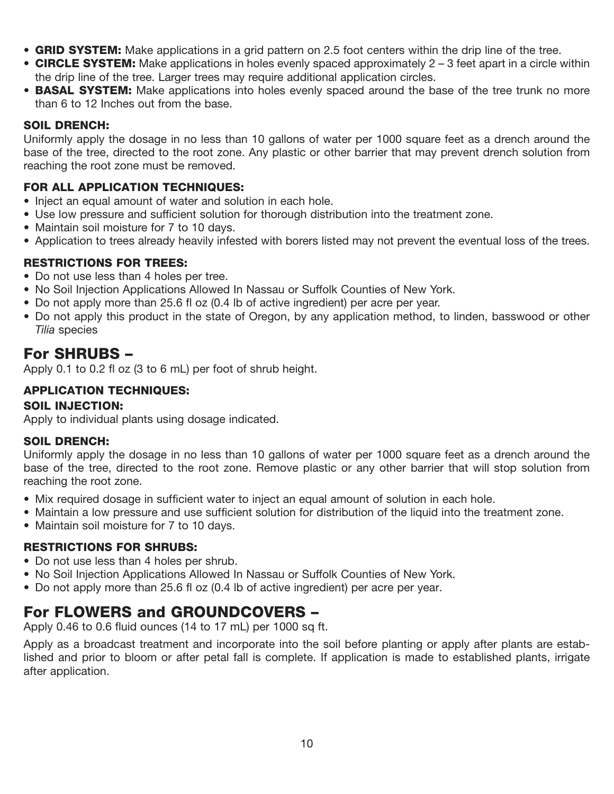- GRID SYSTEM: Make applications in a grid pattern on 2.5 foot centers within the drip line of the tree.
- CIRCLE SYSTEM: Make applications in holes evenly spaced approximately  $2 3$  feet apart in a circle within the drip line of the tree. Larger trees may require additional application circles.
- **BASAL SYSTEM:** Make applications into holes evenly spaced around the base of the tree trunk no more than 6 to 12 Inches out from the base.

#### SOIL DRENCH:

Uniformly apply the dosage in no less than 10 gallons of water per 1000 square feet as a drench around the base of the tree, directed to the root zone. Any plastic or other barrier that may prevent drench solution from reaching the root zone must be removed.

#### FOR ALL APPLICATION TECHNIQUES:

- Inject an equal amount of water and solution in each hole.
- Use low pressure and sufficient solution for thorough distribution into the treatment zone.
- Maintain soil moisture for 7 to 10 days.
- Application to trees already heavily infested with borers listed may not prevent the eventual loss of the trees.

#### RESTRICTIONS FOR TREES:

- Do not use less than 4 holes per tree.
- No Soil Injection Applications Allowed In Nassau or Suffolk Counties of New York.
- Do not apply more than 25.6 fl oz (0.4 lb of active ingredient) per acre per year.
- Do not apply this product in the state of Oregon, by any application method, to linden, basswood or other *Tilia* species

#### For SHRUBS –

Apply 0.1 to 0.2 fl oz (3 to 6 mL) per foot of shrub height.

#### APPLICATION TECHNIQUES:

#### SOIL INJECTION:

Apply to individual plants using dosage indicated.

#### SOIL DRENCH:

Uniformly apply the dosage in no less than 10 gallons of water per 1000 square feet as a drench around the base of the tree, directed to the root zone. Remove plastic or any other barrier that will stop solution from reaching the root zone.

- Mix required dosage in sufficient water to inject an equal amount of solution in each hole.
- Maintain a low pressure and use sufficient solution for distribution of the liquid into the treatment zone.
- Maintain soil moisture for 7 to 10 days.

#### RESTRICTIONS FOR SHRUBS:

- Do not use less than 4 holes per shrub.
- No Soil Injection Applications Allowed In Nassau or Suffolk Counties of New York.
- Do not apply more than 25.6 fl oz (0.4 lb of active ingredient) per acre per year.

#### For FLOWERS and GROUNDCOVERS –

Apply 0.46 to 0.6 fluid ounces (14 to 17 mL) per 1000 sq ft.

Apply as a broadcast treatment and incorporate into the soil before planting or apply after plants are established and prior to bloom or after petal fall is complete. If application is made to established plants, irrigate after application.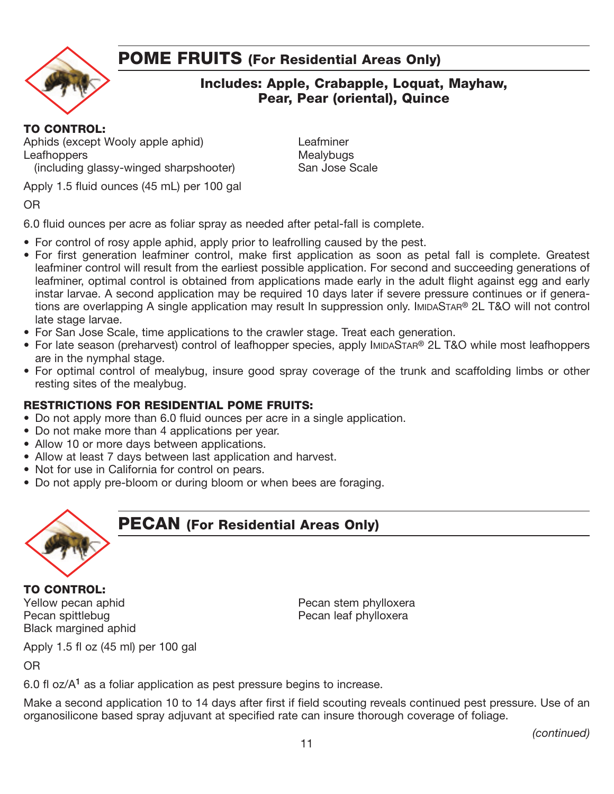## POME FRUITS (For Residential Areas Only)



#### Includes: Apple, Crabapple, Loquat, Mayhaw, Pear, Pear (oriental), Quince

#### TO CONTROL:

Aphids (except Wooly apple aphid) Leafminer<br>
Leafhoppers Leafhoppers Leafhoppers<br>
(including glassy-winged sharpshooter) Mealybugs<br>
San Jose Scale (including glassy-winged sharpshooter)

Apply 1.5 fluid ounces (45 mL) per 100 gal

OR

6.0 fluid ounces per acre as foliar spray as needed after petal-fall is complete.

- For control of rosy apple aphid, apply prior to leafrolling caused by the pest.
- For first generation leafminer control, make first application as soon as petal fall is complete. Greatest leafminer control will result from the earliest possible application. For second and succeeding generations of leafminer, optimal control is obtained from applications made early in the adult flight against egg and early instar larvae. A second application may be required 10 days later if severe pressure continues or if generations are overlapping A single application may result In suppression only. IMIDASTAR® 2L T&O will not control late stage larvae.
- For San Jose Scale, time applications to the crawler stage. Treat each generation.
- For late season (preharvest) control of leafhopper species, apply IMIDASTAR® 2L T&O while most leafhoppers are in the nymphal stage.
- For optimal control of mealybug, insure good spray coverage of the trunk and scaffolding limbs or other resting sites of the mealybug.

#### RESTRICTIONS FOR RESIDENTIAL POME FRUITS:

- Do not apply more than 6.0 fluid ounces per acre in a single application.
- Do not make more than 4 applications per year.
- Allow 10 or more days between applications.
- Allow at least 7 days between last application and harvest.
- Not for use in California for control on pears.
- Do not apply pre-bloom or during bloom or when bees are foraging.



#### PECAN (For Residential Areas Only)

TO CONTROL: Pecan spittlebug **Pecan leaf phylloxera** Black margined aphid

Yellow pecan aphid **Pecan stem phylloxera** Pecan stem phylloxera

Apply 1.5 fl oz (45 ml) per 100 gal

OR

6.0 fl oz/ $A<sup>1</sup>$  as a foliar application as pest pressure begins to increase.

Make a second application 10 to 14 days after first if field scouting reveals continued pest pressure. Use of an organosilicone based spray adjuvant at specified rate can insure thorough coverage of foliage.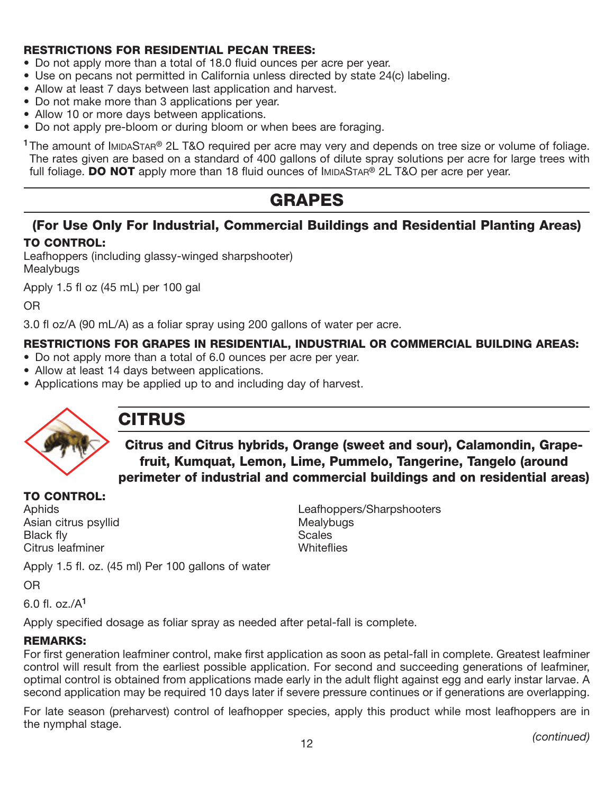#### RESTRICTIONS FOR RESIDENTIAL PECAN TREES:

- Do not apply more than a total of 18.0 fluid ounces per acre per year.
- Use on pecans not permitted in California unless directed by state 24(c) labeling.
- Allow at least 7 days between last application and harvest.
- Do not make more than 3 applications per year.
- Allow 10 or more days between applications.
- Do not apply pre-bloom or during bloom or when bees are foraging.

<sup>1</sup>The amount of IMIDASTAR<sup>®</sup> 2L T&O required per acre may very and depends on tree size or volume of foliage. The rates given are based on a standard of 400 gallons of dilute spray solutions per acre for large trees with full foliage. **DO NOT** apply more than 18 fluid ounces of IMIDASTAR<sup>®</sup> 2L T&O per acre per year.

## GRAPES

#### (For Use Only For Industrial, Commercial Buildings and Residential Planting Areas) TO CONTROL:

Leafhoppers (including glassy-winged sharpshooter) **Mealybugs** 

Apply 1.5 fl oz (45 mL) per 100 gal

OR

3.0 fl oz/A (90 mL/A) as a foliar spray using 200 gallons of water per acre.

#### RESTRICTIONS FOR GRAPES IN RESIDENTIAL, INDUSTRIAL OR COMMERCIAL BUILDING AREAS:

- Do not apply more than a total of 6.0 ounces per acre per year.
- Allow at least 14 days between applications.
- Applications may be applied up to and including day of harvest.



## CITRUS

Citrus and Citrus hybrids, Orange (sweet and sour), Calamondin, Grapefruit, Kumquat, Lemon, Lime, Pummelo, Tangerine, Tangelo (around perimeter of industrial and commercial buildings and on residential areas)

#### TO CONTROL:

Asian citrus psyllid Mealybugs Black fly<br>Citrus leafminer and the set of the Scales<br>Whiteflies Citrus leafminer

Aphids Leafhoppers/Sharpshooters

Apply 1.5 fl. oz. (45 ml) Per 100 gallons of water

OR

6.0 fl. oz./A<sup>1</sup>

Apply specified dosage as foliar spray as needed after petal-fall is complete.

#### REMARKS:

For first generation leafminer control, make first application as soon as petal-fall in complete. Greatest leafminer control will result from the earliest possible application. For second and succeeding generations of leafminer, optimal control is obtained from applications made early in the adult flight against egg and early instar larvae. A second application may be required 10 days later if severe pressure continues or if generations are overlapping.

For late season (preharvest) control of leafhopper species, apply this product while most leafhoppers are in the nymphal stage.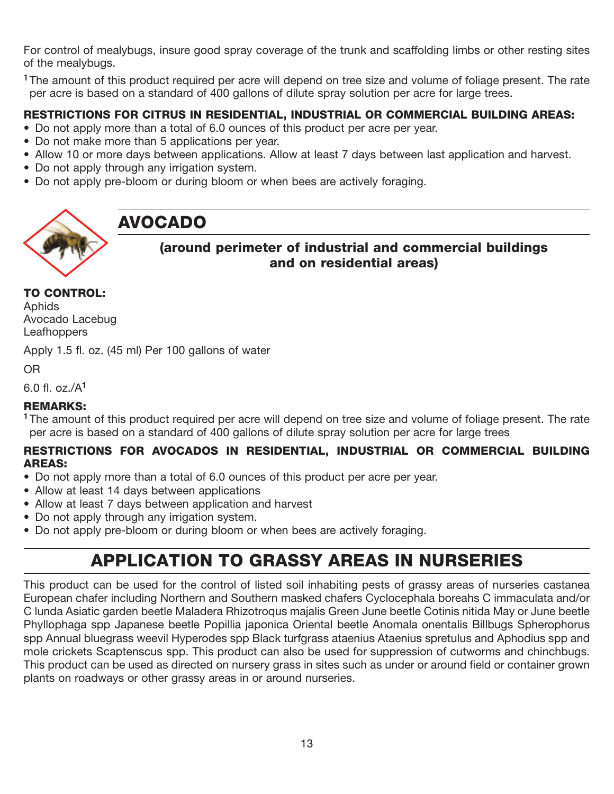For control of mealybugs, insure good spray coverage of the trunk and scaffolding limbs or other resting sites of the mealybugs.

<sup>1</sup>The amount of this product required per acre will depend on tree size and volume of foliage present. The rate per acre is based on a standard of 400 gallons of dilute spray solution per acre for large trees.

#### RESTRICTIONS FOR CITRUS IN RESIDENTIAL, INDUSTRIAL OR COMMERCIAL BUILDING AREAS:

- Do not apply more than a total of 6.0 ounces of this product per acre per year.
- Do not make more than 5 applications per year.
- Allow 10 or more days between applications. Allow at least 7 days between last application and harvest.
- Do not apply through any irrigation system.
- Do not apply pre-bloom or during bloom or when bees are actively foraging.



## AVOCADO

#### (around perimeter of industrial and commercial buildings and on residential areas)

#### TO CONTROL:

Aphids Avocado Lacebug Leafhoppers

Apply 1.5 fl. oz. (45 ml) Per 100 gallons of water

#### OR

6.0 fl. oz./A<sup>1</sup>

#### REMARKS:

<sup>1</sup>The amount of this product required per acre will depend on tree size and volume of foliage present. The rate per acre is based on a standard of 400 gallons of dilute spray solution per acre for large trees

#### RESTRICTIONS FOR AVOCADOS IN RESIDENTIAL, INDUSTRIAL OR COMMERCIAL BUILDING AREAS:

- Do not apply more than a total of 6.0 ounces of this product per acre per year.
- Allow at least 14 days between applications
- Allow at least 7 days between application and harvest
- Do not apply through any irrigation system.
- Do not apply pre-bloom or during bloom or when bees are actively foraging.

## APPLICATION TO GRASSY AREAS IN NURSERIES

This product can be used for the control of listed soil inhabiting pests of grassy areas of nurseries castanea European chafer including Northern and Southern masked chafers Cyclocephala boreahs C immaculata and/or C lunda Asiatic garden beetle Maladera Rhizotroqus majalis Green June beetle Cotinis nitida May or June beetle Phyllophaga spp Japanese beetle Popillia japonica Oriental beetle Anomala onentalis Billbugs Spherophorus spp Annual bluegrass weevil Hyperodes spp Black turfgrass ataenius Ataenius spretulus and Aphodius spp and mole crickets Scaptenscus spp. This product can also be used for suppression of cutworms and chinchbugs. This product can be used as directed on nursery grass in sites such as under or around field or container grown plants on roadways or other grassy areas in or around nurseries.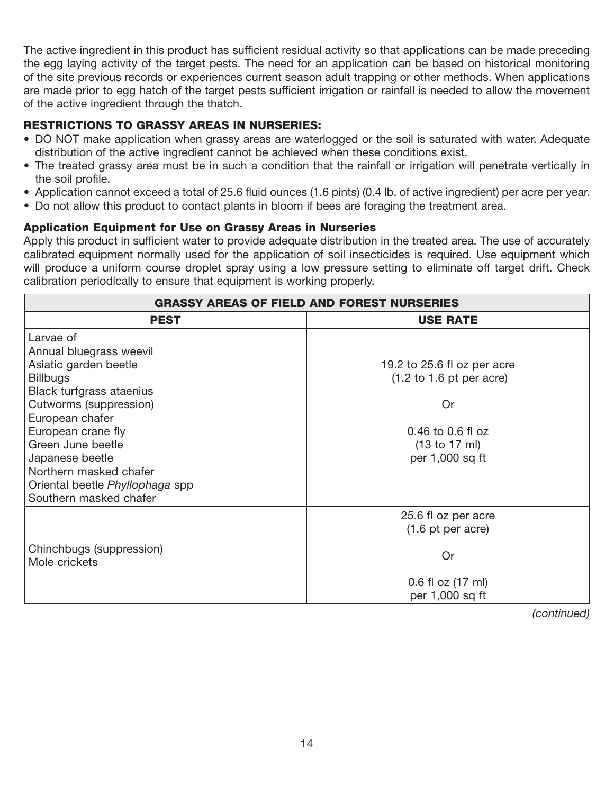The active ingredient in this product has sufficient residual activity so that applications can be made preceding the egg laying activity of the target pests. The need for an application can be based on historical monitoring of the site previous records or experiences current season adult trapping or other methods. When applications are made prior to egg hatch of the target pests sufficient irrigation or rainfall is needed to allow the movement of the active ingredient through the thatch.

#### RESTRICTIONS TO GRASSY AREAS IN NURSERIES:

- DO NOT make application when grassy areas are waterlogged or the soil is saturated with water. Adequate distribution of the active ingredient cannot be achieved when these conditions exist.
- The treated grassy area must be in such a condition that the rainfall or irrigation will penetrate vertically in the soil profile.
- Application cannot exceed a total of 25.6 fluid ounces (1.6 pints) (0.4 lb. of active ingredient) per acre per year.
- Do not allow this product to contact plants in bloom if bees are foraging the treatment area.

#### Application Equipment for Use on Grassy Areas in Nurseries

Apply this product in sufficient water to provide adequate distribution in the treated area. The use of accurately calibrated equipment normally used for the application of soil insecticides is required. Use equipment which will produce a uniform course droplet spray using a low pressure setting to eliminate off target drift. Check calibration periodically to ensure that equipment is working properly.

| <b>GRASSY AREAS OF FIELD AND FOREST NURSERIES</b> |                                             |  |  |
|---------------------------------------------------|---------------------------------------------|--|--|
| <b>USE RATE</b><br><b>PEST</b>                    |                                             |  |  |
| Larvae of                                         |                                             |  |  |
| Annual bluegrass weevil                           |                                             |  |  |
| Asiatic garden beetle                             | 19.2 to 25.6 fl oz per acre                 |  |  |
| <b>Billbugs</b>                                   | $(1.2 \text{ to } 1.6 \text{ pt per acre})$ |  |  |
| Black turfgrass ataenius                          |                                             |  |  |
| Cutworms (suppression)                            | Or                                          |  |  |
| European chafer                                   |                                             |  |  |
| European crane fly                                | 0.46 to 0.6 fl oz                           |  |  |
| Green June beetle                                 | (13 to 17 ml)                               |  |  |
| Japanese beetle                                   | per 1,000 sq ft                             |  |  |
| Northern masked chafer                            |                                             |  |  |
| Oriental beetle Phyllophaga spp                   |                                             |  |  |
| Southern masked chafer                            |                                             |  |  |
|                                                   | 25.6 fl oz per acre                         |  |  |
|                                                   | $(1.6 \text{ pt per acre})$                 |  |  |
|                                                   |                                             |  |  |
| Chinchbugs (suppression)<br>Mole crickets         | Or                                          |  |  |
|                                                   |                                             |  |  |
|                                                   | 0.6 fl oz (17 ml)                           |  |  |
|                                                   | per 1,000 sq ft                             |  |  |

*(continued)*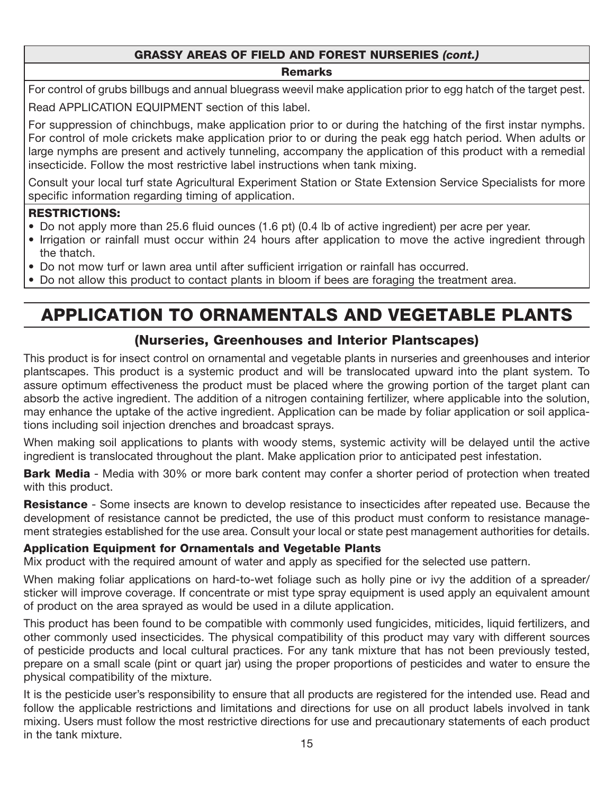#### GRASSY AREAS OF FIELD AND FOREST NURSERIES *(cont.)*

#### **Remarks**

For control of grubs billbugs and annual bluegrass weevil make application prior to egg hatch of the target pest. Read APPLICATION EQUIPMENT section of this label.

For suppression of chinchbugs, make application prior to or during the hatching of the first instar nymphs. For control of mole crickets make application prior to or during the peak egg hatch period. When adults or large nymphs are present and actively tunneling, accompany the application of this product with a remedial insecticide. Follow the most restrictive label instructions when tank mixing.

Consult your local turf state Agricultural Experiment Station or State Extension Service Specialists for more specific information regarding timing of application.

#### RESTRICTIONS:

- Do not apply more than 25.6 fluid ounces (1.6 pt) (0.4 lb of active ingredient) per acre per year.
- Irrigation or rainfall must occur within 24 hours after application to move the active ingredient through the thatch.
- Do not mow turf or lawn area until after sufficient irrigation or rainfall has occurred.
- Do not allow this product to contact plants in bloom if bees are foraging the treatment area.

## APPLICATION TO ORNAMENTALS AND VEGETABLE PLANTS

#### (Nurseries, Greenhouses and Interior Plantscapes)

This product is for insect control on ornamental and vegetable plants in nurseries and greenhouses and interior plantscapes. This product is a systemic product and will be translocated upward into the plant system. To assure optimum effectiveness the product must be placed where the growing portion of the target plant can absorb the active ingredient. The addition of a nitrogen containing fertilizer, where applicable into the solution, may enhance the uptake of the active ingredient. Application can be made by foliar application or soil applications including soil injection drenches and broadcast sprays.

When making soil applications to plants with woody stems, systemic activity will be delayed until the active ingredient is translocated throughout the plant. Make application prior to anticipated pest infestation.

**Bark Media** - Media with 30% or more bark content may confer a shorter period of protection when treated with this product.

Resistance - Some insects are known to develop resistance to insecticides after repeated use. Because the development of resistance cannot be predicted, the use of this product must conform to resistance management strategies established for the use area. Consult your local or state pest management authorities for details.

#### Application Equipment for Ornamentals and Vegetable Plants

Mix product with the required amount of water and apply as specified for the selected use pattern.

When making foliar applications on hard-to-wet foliage such as holly pine or ivy the addition of a spreader/ sticker will improve coverage. If concentrate or mist type spray equipment is used apply an equivalent amount of product on the area sprayed as would be used in a dilute application.

This product has been found to be compatible with commonly used fungicides, miticides, liquid fertilizers, and other commonly used insecticides. The physical compatibility of this product may vary with different sources of pesticide products and local cultural practices. For any tank mixture that has not been previously tested, prepare on a small scale (pint or quart jar) using the proper proportions of pesticides and water to ensure the physical compatibility of the mixture.

It is the pesticide user's responsibility to ensure that all products are registered for the intended use. Read and follow the applicable restrictions and limitations and directions for use on all product labels involved in tank mixing. Users must follow the most restrictive directions for use and precautionary statements of each product in the tank mixture.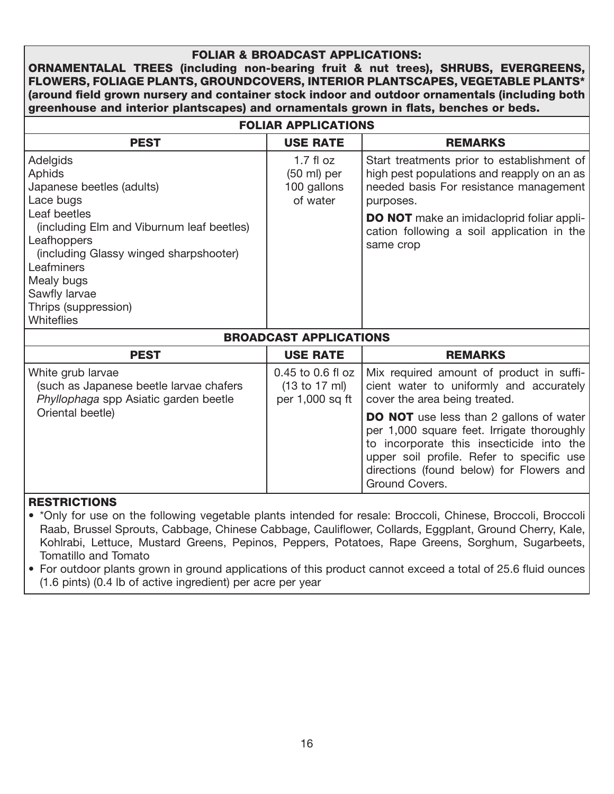#### FOLIAR & BROADCAST APPLICATIONS:

ORNAMENTALAL TREES (including non-bearing fruit & nut trees), SHRUBS, EVERGREENS, FLOWERS, FOLIAGE PLANTS, GROUNDCOVERS, INTERIOR PLANTSCAPES, VEGETABLE PLANTS\* (around field grown nursery and container stock indoor and outdoor ornamentals (including both greenhouse and interior plantscapes) and ornamentals grown in flats, benches or beds.

| <b>FOLIAR APPLICATIONS</b>                                                                                                                                                                                   |                                                                 |                                                                                                                                                                                       |  |  |
|--------------------------------------------------------------------------------------------------------------------------------------------------------------------------------------------------------------|-----------------------------------------------------------------|---------------------------------------------------------------------------------------------------------------------------------------------------------------------------------------|--|--|
| <b>PEST</b>                                                                                                                                                                                                  | <b>USE RATE</b>                                                 | <b>REMARKS</b>                                                                                                                                                                        |  |  |
| Adelgids<br><b>Aphids</b><br>Japanese beetles (adults)<br>Lace bugs                                                                                                                                          | $1.7$ fl oz<br>$(50 \text{ ml})$ per<br>100 gallons<br>of water | Start treatments prior to establishment of<br>high pest populations and reapply on an as<br>needed basis For resistance management<br>purposes.                                       |  |  |
| Leaf beetles<br>(including Elm and Viburnum leaf beetles)<br>Leafhoppers<br>(including Glassy winged sharpshooter)<br>Leafminers<br>Mealy bugs<br>Sawfly larvae<br>Thrips (suppression)<br><b>Whiteflies</b> |                                                                 | <b>DO NOT</b> make an imidacloprid foliar appli-<br>cation following a soil application in the<br>same crop                                                                           |  |  |
| <b>BROADCAST APPLICATIONS</b>                                                                                                                                                                                |                                                                 |                                                                                                                                                                                       |  |  |
| <b>PEST</b>                                                                                                                                                                                                  | <b>USE RATE</b>                                                 | <b>REMARKS</b>                                                                                                                                                                        |  |  |
| White grub larvae<br>(such as Japanese beetle larvae chafers<br>Phyllophaga spp Asiatic garden beetle                                                                                                        | 0.45 to 0.6 fl oz<br>(13 to 17 ml)<br>per 1,000 sq ft           | Mix required amount of product in suffi-<br>cient water to uniformly and accurately<br>cover the area being treated.                                                                  |  |  |
| Oriental beetle)                                                                                                                                                                                             |                                                                 | <b>DO NOT</b> use less than 2 gallons of water<br>per 1,000 square feet. Irrigate thoroughly<br>to incorporate this insecticide into the<br>upper soil profile. Refer to specific use |  |  |

#### **RESTRICTIONS**

• \*Only for use on the following vegetable plants intended for resale: Broccoli, Chinese, Broccoli, Broccoli Raab, Brussel Sprouts, Cabbage, Chinese Cabbage, Cauliflower, Collards, Eggplant, Ground Cherry, Kale, Kohlrabi, Lettuce, Mustard Greens, Pepinos, Peppers, Potatoes, Rape Greens, Sorghum, Sugarbeets, Tomatillo and Tomato

directions (found below) for Flowers and

Ground Covers.

• For outdoor plants grown in ground applications of this product cannot exceed a total of 25.6 fluid ounces (1.6 pints) (0.4 lb of active ingredient) per acre per year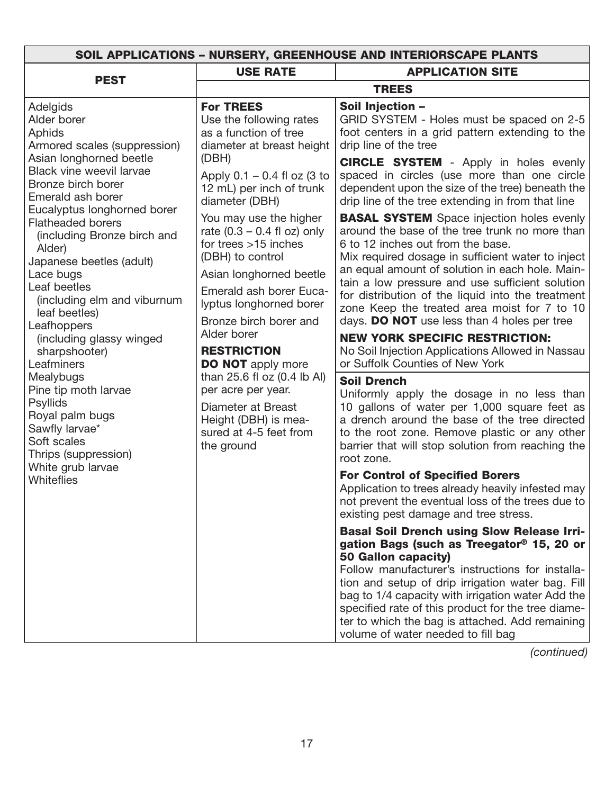| <b>USE RATE</b><br><b>PEST</b><br><b>TREES</b><br>Soil Injection -<br>Adelgids<br><b>For TREES</b><br>Alder borer<br>Use the following rates<br>as a function of tree<br>Aphids<br>drip line of the tree<br>diameter at breast height<br>Armored scales (suppression)<br>Asian longhorned beetle<br>(DBH)<br>Black vine weevil larvae<br>Apply $0.1 - 0.4$ fl oz (3 to<br>Bronze birch borer<br>12 mL) per inch of trunk<br>Emerald ash borer<br>diameter (DBH)<br>Eucalyptus longhorned borer<br>You may use the higher<br><b>Flatheaded borers</b><br>rate $(0.3 - 0.4$ fl oz) only<br>(including Bronze birch and<br>for trees $>15$ inches<br>6 to 12 inches out from the base.<br>Alder)<br>(DBH) to control<br>Japanese beetles (adult)<br>Lace bugs<br>Asian longhorned beetle<br>Leaf beetles<br>Emerald ash borer Euca-<br>(including elm and viburnum<br>lyptus longhorned borer<br>leaf beetles)<br>Bronze birch borer and<br>Leafhoppers<br>Alder borer<br>(including glassy winged<br><b>RESTRICTION</b><br>sharpshooter)<br>or Suffolk Counties of New York<br>Leafminers<br><b>DO NOT</b> apply more<br>than 25.6 fl oz (0.4 lb Al)<br>Mealybugs<br><b>Soil Drench</b><br>Pine tip moth larvae<br>per acre per year.<br><b>Psyllids</b><br>Diameter at Breast<br>Royal palm bugs<br>Height (DBH) is mea-<br>Sawfly larvae*<br>sured at 4-5 feet from<br>Soft scales<br>the ground<br>Thrips (suppression)<br>root zone.<br>White grub larvae | SOIL APPLICATIONS - NURSERY, GREENHOUSE AND INTERIORSCAPE PLANTS |  |                                                                                                                                                                                                                                                                                                                                                                                                                                                                                                                                                                                                                                                                                                                                                                                                                                                                                                                                                                                                                                                                                                                                                                                                                                                                          |  |  |  |
|-------------------------------------------------------------------------------------------------------------------------------------------------------------------------------------------------------------------------------------------------------------------------------------------------------------------------------------------------------------------------------------------------------------------------------------------------------------------------------------------------------------------------------------------------------------------------------------------------------------------------------------------------------------------------------------------------------------------------------------------------------------------------------------------------------------------------------------------------------------------------------------------------------------------------------------------------------------------------------------------------------------------------------------------------------------------------------------------------------------------------------------------------------------------------------------------------------------------------------------------------------------------------------------------------------------------------------------------------------------------------------------------------------------------------------------------------------------|------------------------------------------------------------------|--|--------------------------------------------------------------------------------------------------------------------------------------------------------------------------------------------------------------------------------------------------------------------------------------------------------------------------------------------------------------------------------------------------------------------------------------------------------------------------------------------------------------------------------------------------------------------------------------------------------------------------------------------------------------------------------------------------------------------------------------------------------------------------------------------------------------------------------------------------------------------------------------------------------------------------------------------------------------------------------------------------------------------------------------------------------------------------------------------------------------------------------------------------------------------------------------------------------------------------------------------------------------------------|--|--|--|
|                                                                                                                                                                                                                                                                                                                                                                                                                                                                                                                                                                                                                                                                                                                                                                                                                                                                                                                                                                                                                                                                                                                                                                                                                                                                                                                                                                                                                                                             |                                                                  |  | <b>APPLICATION SITE</b>                                                                                                                                                                                                                                                                                                                                                                                                                                                                                                                                                                                                                                                                                                                                                                                                                                                                                                                                                                                                                                                                                                                                                                                                                                                  |  |  |  |
|                                                                                                                                                                                                                                                                                                                                                                                                                                                                                                                                                                                                                                                                                                                                                                                                                                                                                                                                                                                                                                                                                                                                                                                                                                                                                                                                                                                                                                                             |                                                                  |  |                                                                                                                                                                                                                                                                                                                                                                                                                                                                                                                                                                                                                                                                                                                                                                                                                                                                                                                                                                                                                                                                                                                                                                                                                                                                          |  |  |  |
| Whiteflies                                                                                                                                                                                                                                                                                                                                                                                                                                                                                                                                                                                                                                                                                                                                                                                                                                                                                                                                                                                                                                                                                                                                                                                                                                                                                                                                                                                                                                                  |                                                                  |  | GRID SYSTEM - Holes must be spaced on 2-5<br>foot centers in a grid pattern extending to the<br><b>CIRCLE SYSTEM</b> - Apply in holes evenly<br>spaced in circles (use more than one circle<br>dependent upon the size of the tree) beneath the<br>drip line of the tree extending in from that line<br><b>BASAL SYSTEM</b> Space injection holes evenly<br>around the base of the tree trunk no more than<br>Mix required dosage in sufficient water to inject<br>an equal amount of solution in each hole. Main-<br>tain a low pressure and use sufficient solution<br>for distribution of the liquid into the treatment<br>zone Keep the treated area moist for 7 to 10<br>days. DO NOT use less than 4 holes per tree<br><b>NEW YORK SPECIFIC RESTRICTION:</b><br>No Soil Injection Applications Allowed in Nassau<br>Uniformly apply the dosage in no less than<br>10 gallons of water per 1,000 square feet as<br>a drench around the base of the tree directed<br>to the root zone. Remove plastic or any other<br>barrier that will stop solution from reaching the<br><b>For Control of Specified Borers</b><br>Application to trees already heavily infested may<br>not prevent the eventual loss of the trees due to<br>existing pest damage and tree stress. |  |  |  |
| <b>50 Gallon capacity)</b>                                                                                                                                                                                                                                                                                                                                                                                                                                                                                                                                                                                                                                                                                                                                                                                                                                                                                                                                                                                                                                                                                                                                                                                                                                                                                                                                                                                                                                  |                                                                  |  | <b>Basal Soil Drench using Slow Release Irri-</b><br>gation Bags (such as Treegator <sup>®</sup> 15, 20 or<br>Follow manufacturer's instructions for installa-<br>tion and setup of drip irrigation water bag. Fill<br>bag to 1/4 capacity with irrigation water Add the<br>specified rate of this product for the tree diame-<br>ter to which the bag is attached. Add remaining                                                                                                                                                                                                                                                                                                                                                                                                                                                                                                                                                                                                                                                                                                                                                                                                                                                                                        |  |  |  |

*(continued)*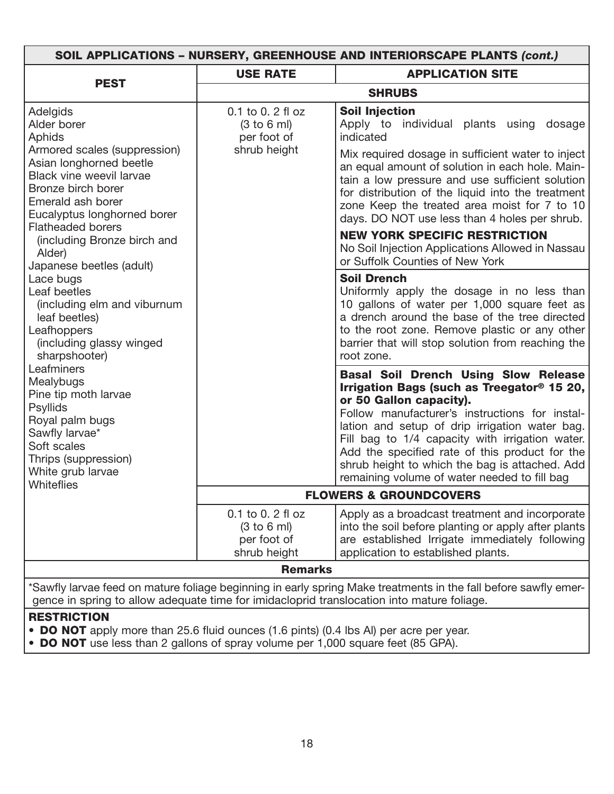| SOIL APPLICATIONS - NURSERY, GREENHOUSE AND INTERIORSCAPE PLANTS (cont.)                                                                                                                  |                                                                |                                                                                                                                                                                                                                                                                                                                                                                                                                             |  |  |
|-------------------------------------------------------------------------------------------------------------------------------------------------------------------------------------------|----------------------------------------------------------------|---------------------------------------------------------------------------------------------------------------------------------------------------------------------------------------------------------------------------------------------------------------------------------------------------------------------------------------------------------------------------------------------------------------------------------------------|--|--|
|                                                                                                                                                                                           | <b>USE RATE</b>                                                | <b>APPLICATION SITE</b>                                                                                                                                                                                                                                                                                                                                                                                                                     |  |  |
| <b>PEST</b>                                                                                                                                                                               |                                                                | <b>SHRUBS</b>                                                                                                                                                                                                                                                                                                                                                                                                                               |  |  |
| Adelgids<br>Alder borer<br><b>Aphids</b>                                                                                                                                                  | 0.1 to 0.2 fl oz<br>(3 to 6 ml)<br>per foot of                 | <b>Soil Injection</b><br>Apply to individual plants using dosage<br>indicated                                                                                                                                                                                                                                                                                                                                                               |  |  |
| Armored scales (suppression)<br>Asian longhorned beetle<br>Black vine weevil larvae<br>Bronze birch borer<br>Emerald ash borer<br>Eucalyptus longhorned borer<br><b>Flatheaded borers</b> | shrub height                                                   | Mix required dosage in sufficient water to inject<br>an equal amount of solution in each hole. Main-<br>tain a low pressure and use sufficient solution<br>for distribution of the liquid into the treatment<br>zone Keep the treated area moist for 7 to 10<br>days. DO NOT use less than 4 holes per shrub.                                                                                                                               |  |  |
| (including Bronze birch and<br>Alder)<br>Japanese beetles (adult)                                                                                                                         |                                                                | <b>NEW YORK SPECIFIC RESTRICTION</b><br>No Soil Injection Applications Allowed in Nassau<br>or Suffolk Counties of New York                                                                                                                                                                                                                                                                                                                 |  |  |
| Lace bugs<br>Leaf beetles<br>(including elm and viburnum<br>leaf beetles)<br>Leafhoppers<br>(including glassy winged<br>sharpshooter)                                                     |                                                                | <b>Soil Drench</b><br>Uniformly apply the dosage in no less than<br>10 gallons of water per 1,000 square feet as<br>a drench around the base of the tree directed<br>to the root zone. Remove plastic or any other<br>barrier that will stop solution from reaching the<br>root zone.                                                                                                                                                       |  |  |
| Leafminers<br>Mealybugs<br>Pine tip moth larvae<br><b>Psyllids</b><br>Royal palm bugs<br>Sawfly larvae*<br>Soft scales<br>Thrips (suppression)<br>White grub larvae<br>Whiteflies         |                                                                | <b>Basal Soil Drench Using Slow Release</b><br>Irrigation Bags (such as Treegator <sup>®</sup> 15 20,<br>or 50 Gallon capacity).<br>Follow manufacturer's instructions for instal-<br>lation and setup of drip irrigation water bag.<br>Fill bag to 1/4 capacity with irrigation water.<br>Add the specified rate of this product for the<br>shrub height to which the bag is attached. Add<br>remaining volume of water needed to fill bag |  |  |
|                                                                                                                                                                                           |                                                                | <b>FLOWERS &amp; GROUNDCOVERS</b>                                                                                                                                                                                                                                                                                                                                                                                                           |  |  |
|                                                                                                                                                                                           | 0.1 to 0.2 fl oz<br>(3 to 6 ml)<br>per foot of<br>shrub height | Apply as a broadcast treatment and incorporate<br>into the soil before planting or apply after plants<br>are established Irrigate immediately following<br>application to established plants.                                                                                                                                                                                                                                               |  |  |
| <b>Remarks</b>                                                                                                                                                                            |                                                                |                                                                                                                                                                                                                                                                                                                                                                                                                                             |  |  |
| *Sawfly larvae feed on mature foliage beginning in early spring Make treatments in the fall before sawfly emer-                                                                           |                                                                |                                                                                                                                                                                                                                                                                                                                                                                                                                             |  |  |

gence in spring to allow adequate time for imidacloprid translocation into mature foliage.

#### **RESTRICTION**

- **DO NOT** apply more than 25.6 fluid ounces (1.6 pints) (0.4 lbs Al) per acre per year.
- **DO NOT** use less than 2 gallons of spray volume per 1,000 square feet (85 GPA).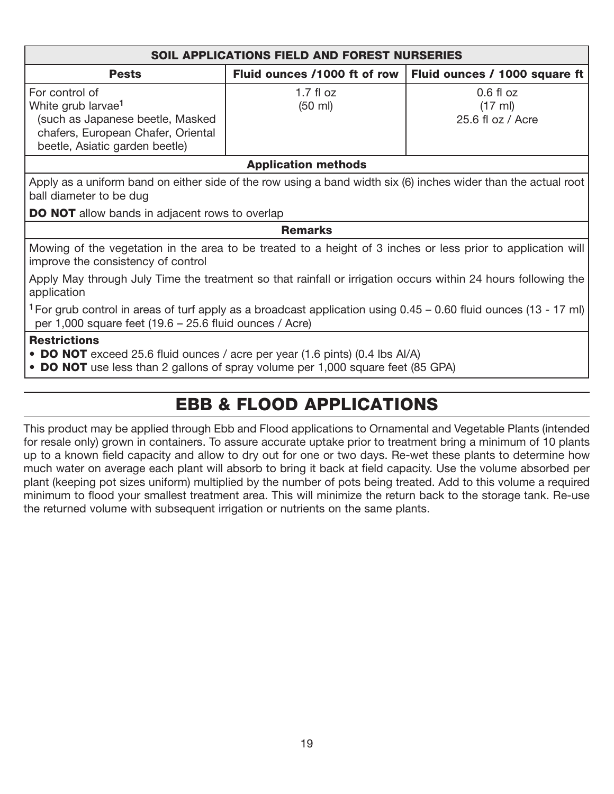| <b>SOIL APPLICATIONS FIELD AND FOREST NURSERIES</b>                                                                                                                                         |                                                               |                                               |  |  |  |
|---------------------------------------------------------------------------------------------------------------------------------------------------------------------------------------------|---------------------------------------------------------------|-----------------------------------------------|--|--|--|
| <b>Pests</b>                                                                                                                                                                                | Fluid ounces /1000 ft of row<br>Fluid ounces / 1000 square ft |                                               |  |  |  |
| For control of<br>White grub larvae <sup>1</sup><br>(such as Japanese beetle, Masked<br>chafers, European Chafer, Oriental<br>beetle, Asiatic garden beetle)                                | $1.7$ fl oz<br>$(50 \text{ ml})$                              | $0.6$ fl $oz$<br>(17 ml)<br>25.6 fl oz / Acre |  |  |  |
|                                                                                                                                                                                             | <b>Application methods</b>                                    |                                               |  |  |  |
| Apply as a uniform band on either side of the row using a band width six (6) inches wider than the actual root<br>ball diameter to be dug                                                   |                                                               |                                               |  |  |  |
| <b>DO NOT</b> allow bands in adjacent rows to overlap                                                                                                                                       |                                                               |                                               |  |  |  |
| <b>Remarks</b>                                                                                                                                                                              |                                                               |                                               |  |  |  |
| Mowing of the vegetation in the area to be treated to a height of 3 inches or less prior to application will<br>improve the consistency of control                                          |                                                               |                                               |  |  |  |
| Apply May through July Time the treatment so that rainfall or irrigation occurs within 24 hours following the<br>application                                                                |                                                               |                                               |  |  |  |
| <sup>1</sup> For grub control in areas of turf apply as a broadcast application using $0.45 - 0.60$ fluid ounces (13 - 17 ml)<br>per 1,000 square feet $(19.6 - 25.6)$ fluid ounces / Acre) |                                                               |                                               |  |  |  |
| <b>Restrictions</b><br>• DO NOT exceed 25.6 fluid ounces / acre per year (1.6 pints) (0.4 lbs Al/A)<br>• DO NOT use less than 2 gallons of spray volume per 1,000 square feet (85 GPA)      |                                                               |                                               |  |  |  |

## EBB & FLOOD APPLICATIONS

This product may be applied through Ebb and Flood applications to Ornamental and Vegetable Plants (intended for resale only) grown in containers. To assure accurate uptake prior to treatment bring a minimum of 10 plants up to a known field capacity and allow to dry out for one or two days. Re-wet these plants to determine how much water on average each plant will absorb to bring it back at field capacity. Use the volume absorbed per plant (keeping pot sizes uniform) multiplied by the number of pots being treated. Add to this volume a required minimum to flood your smallest treatment area. This will minimize the return back to the storage tank. Re-use the returned volume with subsequent irrigation or nutrients on the same plants.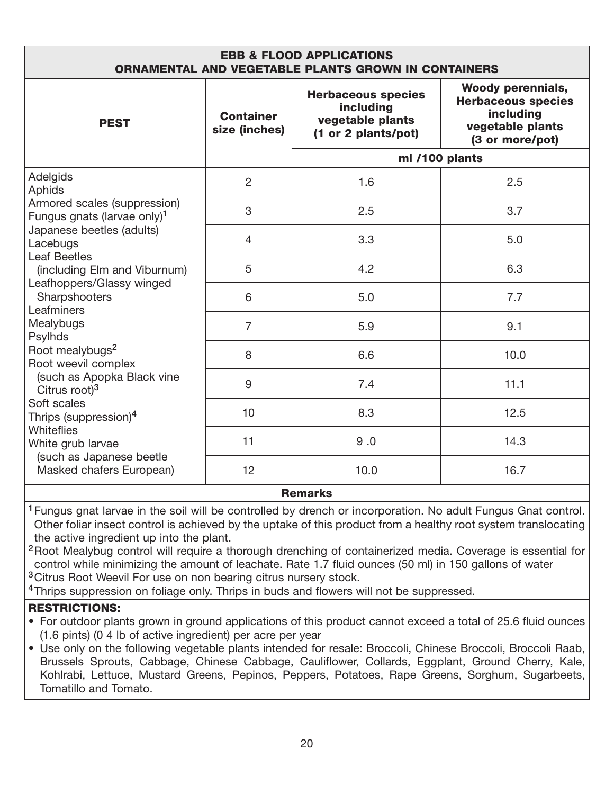| <b>EBB &amp; FLOOD APPLICATIONS</b><br><b>ORNAMENTAL AND VEGETABLE PLANTS GROWN IN CONTAINERS</b> |                                   |                                                                                   |                                                                                                           |  |
|---------------------------------------------------------------------------------------------------|-----------------------------------|-----------------------------------------------------------------------------------|-----------------------------------------------------------------------------------------------------------|--|
| <b>PEST</b>                                                                                       | <b>Container</b><br>size (inches) | <b>Herbaceous species</b><br>including<br>vegetable plants<br>(1 or 2 plants/pot) | <b>Woody perennials,</b><br><b>Herbaceous species</b><br>including<br>vegetable plants<br>(3 or more/pot) |  |
|                                                                                                   |                                   | ml /100 plants                                                                    |                                                                                                           |  |
| Adelgids<br>Aphids                                                                                | $\overline{2}$                    | 1.6                                                                               | 2.5                                                                                                       |  |
| Armored scales (suppression)<br>Fungus gnats (larvae only) <sup>1</sup>                           | 3                                 | 2.5                                                                               | 3.7                                                                                                       |  |
| Japanese beetles (adults)<br>Lacebugs                                                             | $\overline{4}$                    | 3.3                                                                               | 5.0                                                                                                       |  |
| <b>Leaf Beetles</b><br>(including Elm and Viburnum)                                               | 5                                 | 4.2                                                                               | 6.3                                                                                                       |  |
| Leafhoppers/Glassy winged<br>Sharpshooters<br>Leafminers                                          | 6                                 | 5.0                                                                               | 7.7                                                                                                       |  |
| Mealybugs<br>Psylhds                                                                              | $\overline{7}$                    | 5.9                                                                               | 9.1                                                                                                       |  |
| Root mealybugs <sup>2</sup><br>Root weevil complex                                                | 8                                 | 6.6                                                                               | 10.0                                                                                                      |  |
| (such as Apopka Black vine<br>Citrus root) <sup>3</sup>                                           | 9                                 | 7.4                                                                               | 11.1                                                                                                      |  |
| Soft scales<br>Thrips (suppression) <sup>4</sup>                                                  | 10                                | 8.3                                                                               | 12.5                                                                                                      |  |
| Whiteflies<br>White grub larvae                                                                   | 11                                | 9.0                                                                               | 14.3                                                                                                      |  |
| (such as Japanese beetle<br>Masked chafers European)                                              | 12                                | 10.0                                                                              | 16.7                                                                                                      |  |
| <b>Remarks</b>                                                                                    |                                   |                                                                                   |                                                                                                           |  |

<sup>1</sup>Fungus gnat larvae in the soil will be controlled by drench or incorporation. No adult Fungus Gnat control. Other foliar insect control is achieved by the uptake of this product from a healthy root system translocating the active ingredient up into the plant.

<sup>2</sup> Root Mealybug control will require a thorough drenching of containerized media. Coverage is essential for control while minimizing the amount of leachate. Rate 1.7 fluid ounces (50 ml) in 150 gallons of water <sup>3</sup> Citrus Root Weevil For use on non bearing citrus nursery stock.

<sup>4</sup>Thrips suppression on foliage only. Thrips in buds and flowers will not be suppressed.

#### RESTRICTIONS:

• For outdoor plants grown in ground applications of this product cannot exceed a total of 25.6 fluid ounces (1.6 pints) (0 4 lb of active ingredient) per acre per year

• Use only on the following vegetable plants intended for resale: Broccoli, Chinese Broccoli, Broccoli Raab, Brussels Sprouts, Cabbage, Chinese Cabbage, Cauliflower, Collards, Eggplant, Ground Cherry, Kale, Kohlrabi, Lettuce, Mustard Greens, Pepinos, Peppers, Potatoes, Rape Greens, Sorghum, Sugarbeets, Tomatillo and Tomato.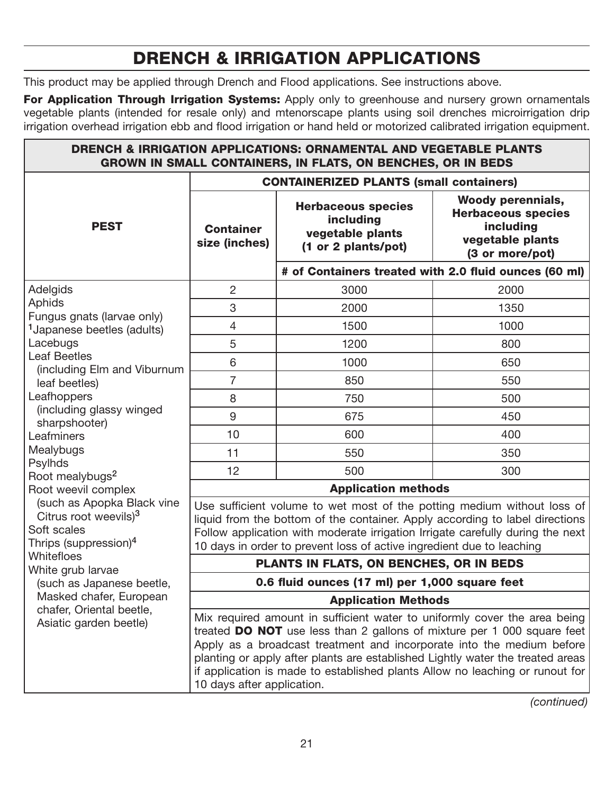## DRENCH & IRRIGATION APPLICATIONS

This product may be applied through Drench and Flood applications. See instructions above.

For Application Through Irrigation Systems: Apply only to greenhouse and nursery grown ornamentals vegetable plants (intended for resale only) and mtenorscape plants using soil drenches microirrigation drip irrigation overhead irrigation ebb and flood irrigation or hand held or motorized calibrated irrigation equipment.

| <b>DRENCH &amp; IRRIGATION APPLICATIONS: ORNAMENTAL AND VEGETABLE PLANTS</b><br><b>GROWN IN SMALL CONTAINERS, IN FLATS, ON BENCHES, OR IN BEDS</b> |                                                                                                                                                                                                                                                                                                                                                                                                                               |                                                                                   |                                                                                                           |
|----------------------------------------------------------------------------------------------------------------------------------------------------|-------------------------------------------------------------------------------------------------------------------------------------------------------------------------------------------------------------------------------------------------------------------------------------------------------------------------------------------------------------------------------------------------------------------------------|-----------------------------------------------------------------------------------|-----------------------------------------------------------------------------------------------------------|
|                                                                                                                                                    | <b>CONTAINERIZED PLANTS (small containers)</b>                                                                                                                                                                                                                                                                                                                                                                                |                                                                                   |                                                                                                           |
| <b>PEST</b>                                                                                                                                        | <b>Container</b><br>size (inches)                                                                                                                                                                                                                                                                                                                                                                                             | <b>Herbaceous species</b><br>including<br>vegetable plants<br>(1 or 2 plants/pot) | <b>Woody perennials,</b><br><b>Herbaceous species</b><br>including<br>vegetable plants<br>(3 or more/pot) |
|                                                                                                                                                    |                                                                                                                                                                                                                                                                                                                                                                                                                               |                                                                                   | # of Containers treated with 2.0 fluid ounces (60 ml)                                                     |
| Adelgids                                                                                                                                           | $\overline{2}$                                                                                                                                                                                                                                                                                                                                                                                                                | 3000                                                                              | 2000                                                                                                      |
| <b>Aphids</b>                                                                                                                                      | 3                                                                                                                                                                                                                                                                                                                                                                                                                             | 2000                                                                              | 1350                                                                                                      |
| Fungus gnats (larvae only)<br><sup>1</sup> Japanese beetles (adults)                                                                               | $\overline{4}$                                                                                                                                                                                                                                                                                                                                                                                                                | 1500                                                                              | 1000                                                                                                      |
| Lacebugs                                                                                                                                           | 5                                                                                                                                                                                                                                                                                                                                                                                                                             | 1200                                                                              | 800                                                                                                       |
| <b>Leaf Beetles</b>                                                                                                                                | 6                                                                                                                                                                                                                                                                                                                                                                                                                             | 1000                                                                              | 650                                                                                                       |
| (including Elm and Viburnum<br>leaf beetles)                                                                                                       | $\overline{7}$                                                                                                                                                                                                                                                                                                                                                                                                                | 850                                                                               | 550                                                                                                       |
| Leafhoppers                                                                                                                                        | 8                                                                                                                                                                                                                                                                                                                                                                                                                             | 750                                                                               | 500                                                                                                       |
| (including glassy winged<br>sharpshooter)                                                                                                          | 9                                                                                                                                                                                                                                                                                                                                                                                                                             | 675                                                                               | 450                                                                                                       |
| Leafminers                                                                                                                                         | 10                                                                                                                                                                                                                                                                                                                                                                                                                            | 600                                                                               | 400                                                                                                       |
| Mealybugs                                                                                                                                          | 11                                                                                                                                                                                                                                                                                                                                                                                                                            | 550                                                                               | 350                                                                                                       |
| <b>Psylhds</b><br>Root mealybugs <sup>2</sup>                                                                                                      | 12                                                                                                                                                                                                                                                                                                                                                                                                                            | 500                                                                               | 300                                                                                                       |
| Root weevil complex                                                                                                                                | <b>Application methods</b>                                                                                                                                                                                                                                                                                                                                                                                                    |                                                                                   |                                                                                                           |
| (such as Apopka Black vine<br>Citrus root weevils) <sup>3</sup><br>Soft scales<br>Thrips (suppression) <sup>4</sup>                                | Use sufficient volume to wet most of the potting medium without loss of<br>liquid from the bottom of the container. Apply according to label directions<br>Follow application with moderate irrigation Irrigate carefully during the next<br>10 days in order to prevent loss of active ingredient due to leaching                                                                                                            |                                                                                   |                                                                                                           |
| Whitefloes<br>White grub larvae                                                                                                                    |                                                                                                                                                                                                                                                                                                                                                                                                                               | PLANTS IN FLATS, ON BENCHES, OR IN BEDS                                           |                                                                                                           |
| (such as Japanese beetle,                                                                                                                          | 0.6 fluid ounces (17 ml) per 1,000 square feet                                                                                                                                                                                                                                                                                                                                                                                |                                                                                   |                                                                                                           |
| Masked chafer, European                                                                                                                            | <b>Application Methods</b>                                                                                                                                                                                                                                                                                                                                                                                                    |                                                                                   |                                                                                                           |
| chafer, Oriental beetle,<br>Asiatic garden beetle)                                                                                                 | Mix required amount in sufficient water to uniformly cover the area being<br>treated DO NOT use less than 2 gallons of mixture per 1 000 square feet<br>Apply as a broadcast treatment and incorporate into the medium before<br>planting or apply after plants are established Lightly water the treated areas<br>if application is made to established plants Allow no leaching or runout for<br>10 days after application. |                                                                                   |                                                                                                           |

*(continued)*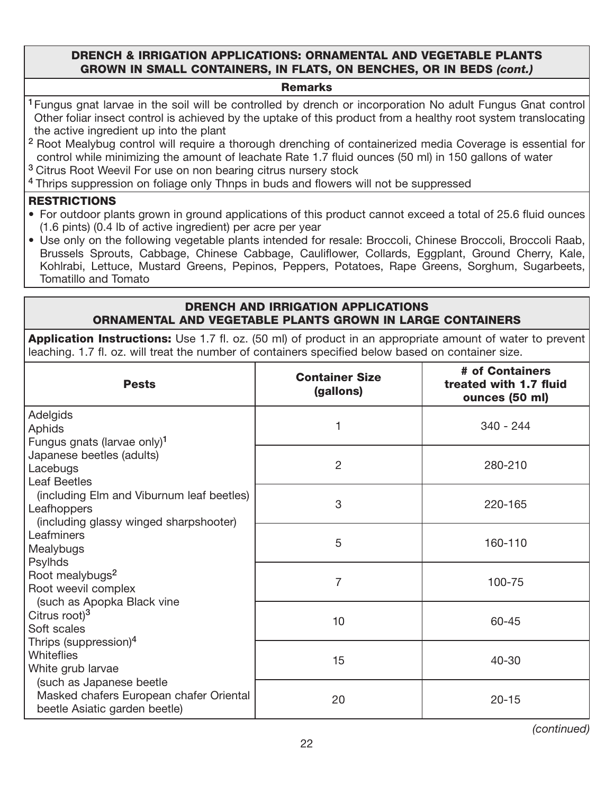#### DRENCH & IRRIGATION APPLICATIONS: ORNAMENTAL AND VEGETABLE PLANTS GROWN IN SMALL CONTAINERS, IN FLATS, ON BENCHES, OR IN BEDS *(cont.)*

#### Remarks

- <sup>1</sup> Fungus gnat larvae in the soil will be controlled by drench or incorporation No adult Fungus Gnat control Other foliar insect control is achieved by the uptake of this product from a healthy root system translocating the active ingredient up into the plant
- <sup>2</sup> Root Mealybug control will require a thorough drenching of containerized media Coverage is essential for control while minimizing the amount of leachate Rate 1.7 fluid ounces (50 ml) in 150 gallons of water
- <sup>3</sup> Citrus Root Weevil For use on non bearing citrus nursery stock
- <sup>4</sup> Thrips suppression on foliage only Thnps in buds and flowers will not be suppressed

#### **RESTRICTIONS**

- For outdoor plants grown in ground applications of this product cannot exceed a total of 25.6 fluid ounces (1.6 pints) (0.4 lb of active ingredient) per acre per year
- Use only on the following vegetable plants intended for resale: Broccoli, Chinese Broccoli, Broccoli Raab, Brussels Sprouts, Cabbage, Chinese Cabbage, Cauliflower, Collards, Eggplant, Ground Cherry, Kale, Kohlrabi, Lettuce, Mustard Greens, Pepinos, Peppers, Potatoes, Rape Greens, Sorghum, Sugarbeets, Tomatillo and Tomato

#### DRENCH AND IRRIGATION APPLICATIONS ORNAMENTAL AND VEGETABLE PLANTS GROWN IN LARGE CONTAINERS

**Application Instructions:** Use 1.7 fl. oz. (50 ml) of product in an appropriate amount of water to prevent leaching. 1.7 fl. oz. will treat the number of containers specified below based on container size.

| <b>Pests</b>                                                         | <b>Container Size</b><br>(gallons) | # of Containers<br>treated with 1.7 fluid<br>ounces (50 ml) |
|----------------------------------------------------------------------|------------------------------------|-------------------------------------------------------------|
| Adelgids                                                             | 1                                  | $340 - 244$                                                 |
| <b>Aphids</b>                                                        |                                    |                                                             |
| Fungus gnats (larvae only) <sup>1</sup><br>Japanese beetles (adults) |                                    |                                                             |
| Lacebugs                                                             | $\overline{2}$                     | 280-210                                                     |
| <b>Leaf Beetles</b>                                                  |                                    |                                                             |
| (including Elm and Viburnum leaf beetles)                            |                                    |                                                             |
| Leafhoppers                                                          | 3                                  | 220-165                                                     |
| (including glassy winged sharpshooter)                               |                                    |                                                             |
| Leafminers<br>Mealybugs                                              | 5                                  | 160-110                                                     |
| Psylhds                                                              |                                    |                                                             |
| Root mealybugs <sup>2</sup>                                          |                                    |                                                             |
| Root weevil complex                                                  | $\overline{7}$                     | 100-75                                                      |
| (such as Apopka Black vine                                           |                                    |                                                             |
| Citrus root) $3$                                                     | 10                                 | 60-45                                                       |
| Soft scales<br>Thrips (suppression) <sup>4</sup>                     |                                    |                                                             |
| <b>Whiteflies</b>                                                    |                                    |                                                             |
| White grub larvae                                                    | 15                                 | 40-30                                                       |
| (such as Japanese beetle                                             |                                    |                                                             |
| Masked chafers European chafer Oriental                              | 20                                 | $20 - 15$                                                   |
| beetle Asiatic garden beetle)                                        |                                    |                                                             |

*(continued)*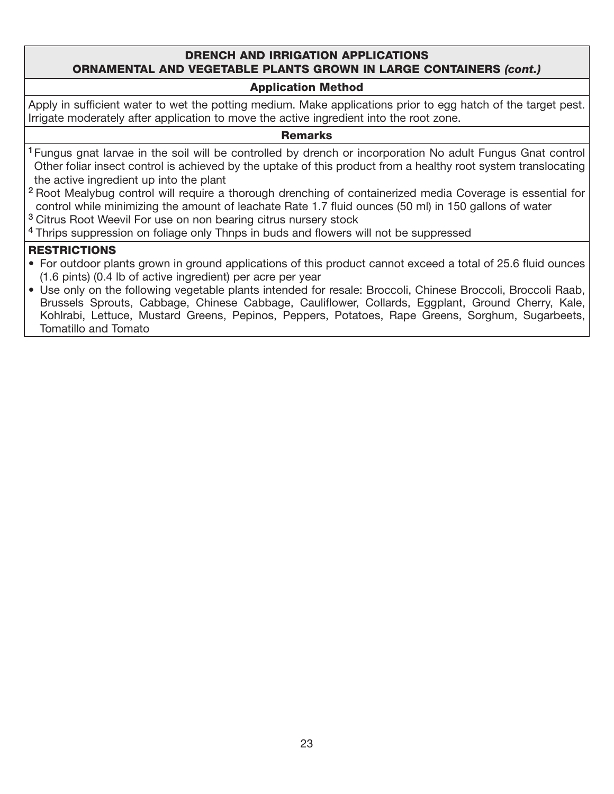#### DRENCH AND IRRIGATION APPLICATIONS ORNAMENTAL AND VEGETABLE PLANTS GROWN IN LARGE CONTAINERS *(cont.)*

#### Application Method

Apply in sufficient water to wet the potting medium. Make applications prior to egg hatch of the target pest. Irrigate moderately after application to move the active ingredient into the root zone.

#### **Remarks**

- <sup>1</sup> Fungus gnat larvae in the soil will be controlled by drench or incorporation No adult Fungus Gnat control Other foliar insect control is achieved by the uptake of this product from a healthy root system translocating the active ingredient up into the plant
- <sup>2</sup> Root Mealybug control will require a thorough drenching of containerized media Coverage is essential for control while minimizing the amount of leachate Rate 1.7 fluid ounces (50 ml) in 150 gallons of water
- <sup>3</sup> Citrus Root Weevil For use on non bearing citrus nursery stock

<sup>4</sup> Thrips suppression on foliage only Thnps in buds and flowers will not be suppressed

#### **RESTRICTIONS**

- For outdoor plants grown in ground applications of this product cannot exceed a total of 25.6 fluid ounces (1.6 pints) (0.4 lb of active ingredient) per acre per year
- Use only on the following vegetable plants intended for resale: Broccoli, Chinese Broccoli, Broccoli Raab, Brussels Sprouts, Cabbage, Chinese Cabbage, Cauliflower, Collards, Eggplant, Ground Cherry, Kale, Kohlrabi, Lettuce, Mustard Greens, Pepinos, Peppers, Potatoes, Rape Greens, Sorghum, Sugarbeets, Tomatillo and Tomato